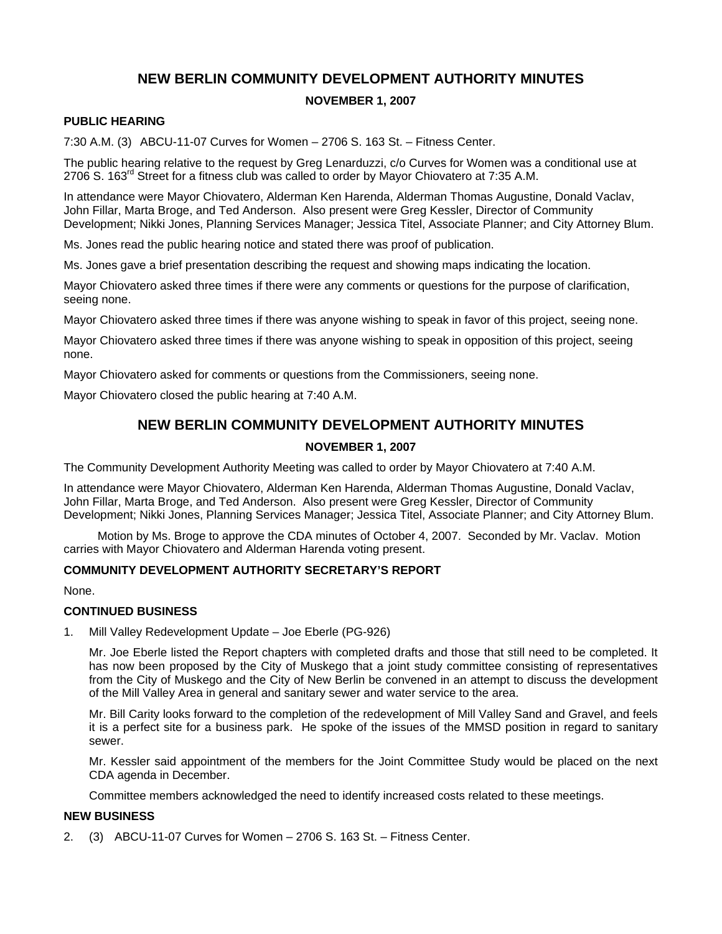# **NEW BERLIN COMMUNITY DEVELOPMENT AUTHORITY MINUTES**

## **NOVEMBER 1, 2007**

### **PUBLIC HEARING**

7:30 A.M. (3) ABCU-11-07 Curves for Women – 2706 S. 163 St. – Fitness Center.

The public hearing relative to the request by Greg Lenarduzzi, c/o Curves for Women was a conditional use at 2706 S. 163<sup>rd</sup> Street for a fitness club was called to order by Mayor Chiovatero at 7:35 A.M.

In attendance were Mayor Chiovatero, Alderman Ken Harenda, Alderman Thomas Augustine, Donald Vaclav, John Fillar, Marta Broge, and Ted Anderson. Also present were Greg Kessler, Director of Community Development; Nikki Jones, Planning Services Manager; Jessica Titel, Associate Planner; and City Attorney Blum.

Ms. Jones read the public hearing notice and stated there was proof of publication.

Ms. Jones gave a brief presentation describing the request and showing maps indicating the location.

Mayor Chiovatero asked three times if there were any comments or questions for the purpose of clarification, seeing none.

Mayor Chiovatero asked three times if there was anyone wishing to speak in favor of this project, seeing none.

Mayor Chiovatero asked three times if there was anyone wishing to speak in opposition of this project, seeing none.

Mayor Chiovatero asked for comments or questions from the Commissioners, seeing none.

Mayor Chiovatero closed the public hearing at 7:40 A.M.

# **NEW BERLIN COMMUNITY DEVELOPMENT AUTHORITY MINUTES**

### **NOVEMBER 1, 2007**

The Community Development Authority Meeting was called to order by Mayor Chiovatero at 7:40 A.M.

In attendance were Mayor Chiovatero, Alderman Ken Harenda, Alderman Thomas Augustine, Donald Vaclav, John Fillar, Marta Broge, and Ted Anderson. Also present were Greg Kessler, Director of Community Development; Nikki Jones, Planning Services Manager; Jessica Titel, Associate Planner; and City Attorney Blum.

Motion by Ms. Broge to approve the CDA minutes of October 4, 2007. Seconded by Mr. Vaclav. Motion carries with Mayor Chiovatero and Alderman Harenda voting present.

#### **COMMUNITY DEVELOPMENT AUTHORITY SECRETARY'S REPORT**

None.

#### **CONTINUED BUSINESS**

1. Mill Valley Redevelopment Update – Joe Eberle (PG-926)

Mr. Joe Eberle listed the Report chapters with completed drafts and those that still need to be completed. It has now been proposed by the City of Muskego that a joint study committee consisting of representatives from the City of Muskego and the City of New Berlin be convened in an attempt to discuss the development of the Mill Valley Area in general and sanitary sewer and water service to the area.

Mr. Bill Carity looks forward to the completion of the redevelopment of Mill Valley Sand and Gravel, and feels it is a perfect site for a business park. He spoke of the issues of the MMSD position in regard to sanitary sewer.

Mr. Kessler said appointment of the members for the Joint Committee Study would be placed on the next CDA agenda in December.

Committee members acknowledged the need to identify increased costs related to these meetings.

# **NEW BUSINESS**

2. (3) ABCU-11-07 Curves for Women – 2706 S. 163 St. – Fitness Center.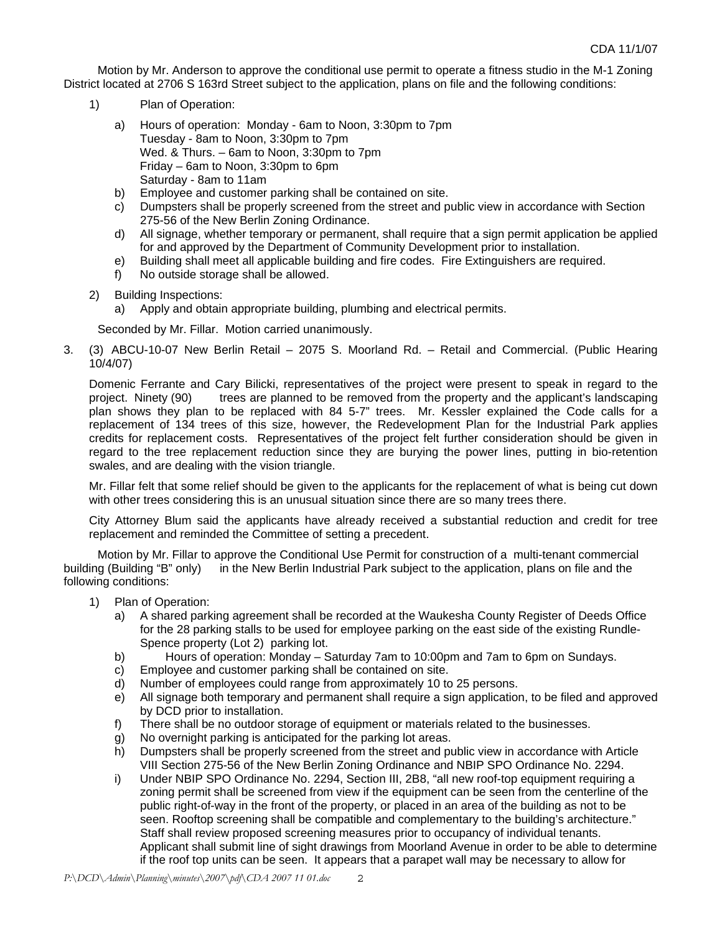Motion by Mr. Anderson to approve the conditional use permit to operate a fitness studio in the M-1 Zoning District located at 2706 S 163rd Street subject to the application, plans on file and the following conditions:

- 1) Plan of Operation:
	- a) Hours of operation: Monday 6am to Noon, 3:30pm to 7pm Tuesday - 8am to Noon, 3:30pm to 7pm Wed. & Thurs. – 6am to Noon, 3:30pm to 7pm Friday – 6am to Noon, 3:30pm to 6pm Saturday - 8am to 11am
	- b) Employee and customer parking shall be contained on site.
	- c) Dumpsters shall be properly screened from the street and public view in accordance with Section 275-56 of the New Berlin Zoning Ordinance.
	- d) All signage, whether temporary or permanent, shall require that a sign permit application be applied for and approved by the Department of Community Development prior to installation.
	- e) Building shall meet all applicable building and fire codes. Fire Extinguishers are required.
	- f) No outside storage shall be allowed.
- 2) Building Inspections:

a) Apply and obtain appropriate building, plumbing and electrical permits.

Seconded by Mr. Fillar. Motion carried unanimously.

3. (3) ABCU-10-07 New Berlin Retail – 2075 S. Moorland Rd. – Retail and Commercial. (Public Hearing 10/4/07)

Domenic Ferrante and Cary Bilicki, representatives of the project were present to speak in regard to the project. Ninety (90) trees are planned to be removed from the property and the applicant's landscaping plan shows they plan to be replaced with 84 5-7" trees. Mr. Kessler explained the Code calls for a replacement of 134 trees of this size, however, the Redevelopment Plan for the Industrial Park applies credits for replacement costs. Representatives of the project felt further consideration should be given in regard to the tree replacement reduction since they are burying the power lines, putting in bio-retention swales, and are dealing with the vision triangle.

Mr. Fillar felt that some relief should be given to the applicants for the replacement of what is being cut down with other trees considering this is an unusual situation since there are so many trees there.

City Attorney Blum said the applicants have already received a substantial reduction and credit for tree replacement and reminded the Committee of setting a precedent.

Motion by Mr. Fillar to approve the Conditional Use Permit for construction of a multi-tenant commercial building (Building "B" only) in the New Berlin Industrial Park subject to the application, plans on file and the following conditions:

- 1) Plan of Operation:
	- a) A shared parking agreement shall be recorded at the Waukesha County Register of Deeds Office for the 28 parking stalls to be used for employee parking on the east side of the existing Rundle-Spence property (Lot 2) parking lot.
	- b) Hours of operation: Monday Saturday 7am to 10:00pm and 7am to 6pm on Sundays.
	- c) Employee and customer parking shall be contained on site.
	- d) Number of employees could range from approximately 10 to 25 persons.
	- e) All signage both temporary and permanent shall require a sign application, to be filed and approved by DCD prior to installation.
	- f) There shall be no outdoor storage of equipment or materials related to the businesses.
	- g) No overnight parking is anticipated for the parking lot areas.
	- h) Dumpsters shall be properly screened from the street and public view in accordance with Article VIII Section 275-56 of the New Berlin Zoning Ordinance and NBIP SPO Ordinance No. 2294.
	- i) Under NBIP SPO Ordinance No. 2294, Section III, 2B8, "all new roof-top equipment requiring a zoning permit shall be screened from view if the equipment can be seen from the centerline of the public right-of-way in the front of the property, or placed in an area of the building as not to be seen. Rooftop screening shall be compatible and complementary to the building's architecture." Staff shall review proposed screening measures prior to occupancy of individual tenants. Applicant shall submit line of sight drawings from Moorland Avenue in order to be able to determine if the roof top units can be seen. It appears that a parapet wall may be necessary to allow for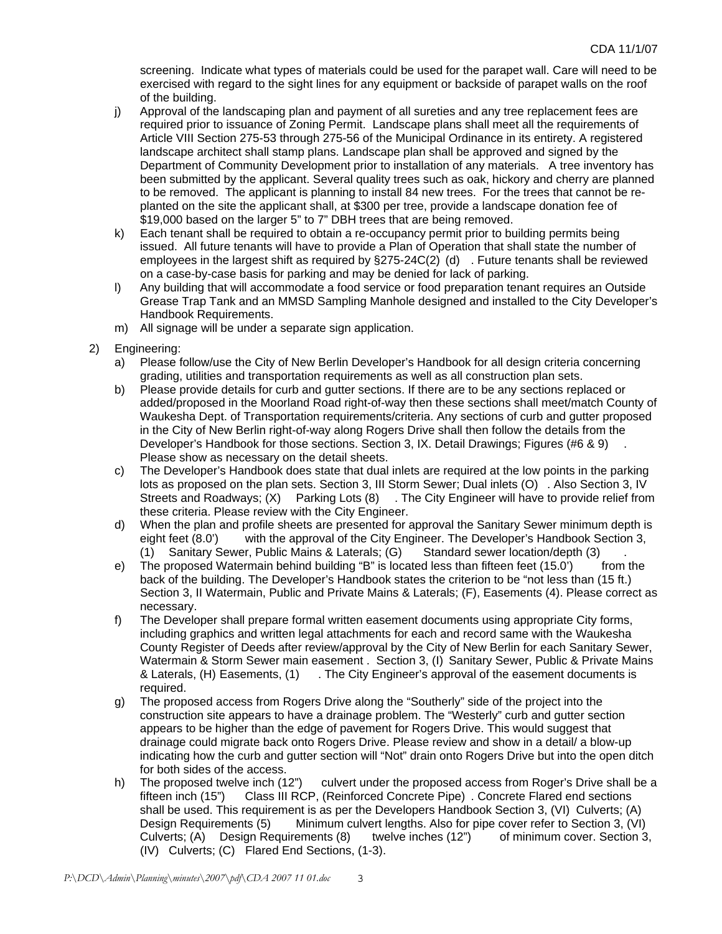screening. Indicate what types of materials could be used for the parapet wall. Care will need to be exercised with regard to the sight lines for any equipment or backside of parapet walls on the roof of the building.

- j) Approval of the landscaping plan and payment of all sureties and any tree replacement fees are required prior to issuance of Zoning Permit. Landscape plans shall meet all the requirements of Article VIII Section 275-53 through 275-56 of the Municipal Ordinance in its entirety. A registered landscape architect shall stamp plans. Landscape plan shall be approved and signed by the Department of Community Development prior to installation of any materials. A tree inventory has been submitted by the applicant. Several quality trees such as oak, hickory and cherry are planned to be removed. The applicant is planning to install 84 new trees. For the trees that cannot be replanted on the site the applicant shall, at \$300 per tree, provide a landscape donation fee of \$19,000 based on the larger 5" to 7" DBH trees that are being removed.
- k) Each tenant shall be required to obtain a re-occupancy permit prior to building permits being issued. All future tenants will have to provide a Plan of Operation that shall state the number of employees in the largest shift as required by §275-24C(2) (d) . Future tenants shall be reviewed on a case-by-case basis for parking and may be denied for lack of parking.
- l) Any building that will accommodate a food service or food preparation tenant requires an Outside Grease Trap Tank and an MMSD Sampling Manhole designed and installed to the City Developer's Handbook Requirements.
- m) All signage will be under a separate sign application.
- 2) Engineering:
	- a) Please follow/use the City of New Berlin Developer's Handbook for all design criteria concerning grading, utilities and transportation requirements as well as all construction plan sets.
	- b) Please provide details for curb and gutter sections. If there are to be any sections replaced or added/proposed in the Moorland Road right-of-way then these sections shall meet/match County of Waukesha Dept. of Transportation requirements/criteria. Any sections of curb and gutter proposed in the City of New Berlin right-of-way along Rogers Drive shall then follow the details from the Developer's Handbook for those sections. Section 3, IX. Detail Drawings; Figures (#6 & 9) Please show as necessary on the detail sheets.
	- c) The Developer's Handbook does state that dual inlets are required at the low points in the parking lots as proposed on the plan sets. Section 3, III Storm Sewer; Dual inlets (O) . Also Section 3, IV Streets and Roadways; (X) Parking Lots (8) . The City Engineer will have to provide relief from these criteria. Please review with the City Engineer.
	- d) When the plan and profile sheets are presented for approval the Sanitary Sewer minimum depth is eight feet (8.0') with the approval of the City Engineer. The Developer's Handbook Section 3, (1) Sanitary Sewer, Public Mains & Laterals; (G) Standard sewer location/depth (3) .
	- e) The proposed Watermain behind building "B" is located less than fifteen feet  $(15.0')$  from the back of the building. The Developer's Handbook states the criterion to be "not less than (15 ft.) Section 3, II Watermain, Public and Private Mains & Laterals; (F), Easements (4). Please correct as necessary.
	- f) The Developer shall prepare formal written easement documents using appropriate City forms, including graphics and written legal attachments for each and record same with the Waukesha County Register of Deeds after review/approval by the City of New Berlin for each Sanitary Sewer, Watermain & Storm Sewer main easement . Section 3, (I) Sanitary Sewer, Public & Private Mains & Laterals, (H) Easements, (1) . The City Engineer's approval of the easement documents is required.
	- g) The proposed access from Rogers Drive along the "Southerly" side of the project into the construction site appears to have a drainage problem. The "Westerly" curb and gutter section appears to be higher than the edge of pavement for Rogers Drive. This would suggest that drainage could migrate back onto Rogers Drive. Please review and show in a detail/ a blow-up indicating how the curb and gutter section will "Not" drain onto Rogers Drive but into the open ditch for both sides of the access.
	- h) The proposed twelve inch (12") culvert under the proposed access from Roger's Drive shall be a fifteen inch (15") Class III RCP, (Reinforced Concrete Pipe) . Concrete Flared end sections shall be used. This requirement is as per the Developers Handbook Section 3, (VI) Culverts; (A) Design Requirements (5) Minimum culvert lengths. Also for pipe cover refer to Section 3, (VI) Culverts; (A) Design Requirements (8) twelve inches (12") of minimum cover. Section 3, (IV) Culverts; (C) Flared End Sections, (1-3).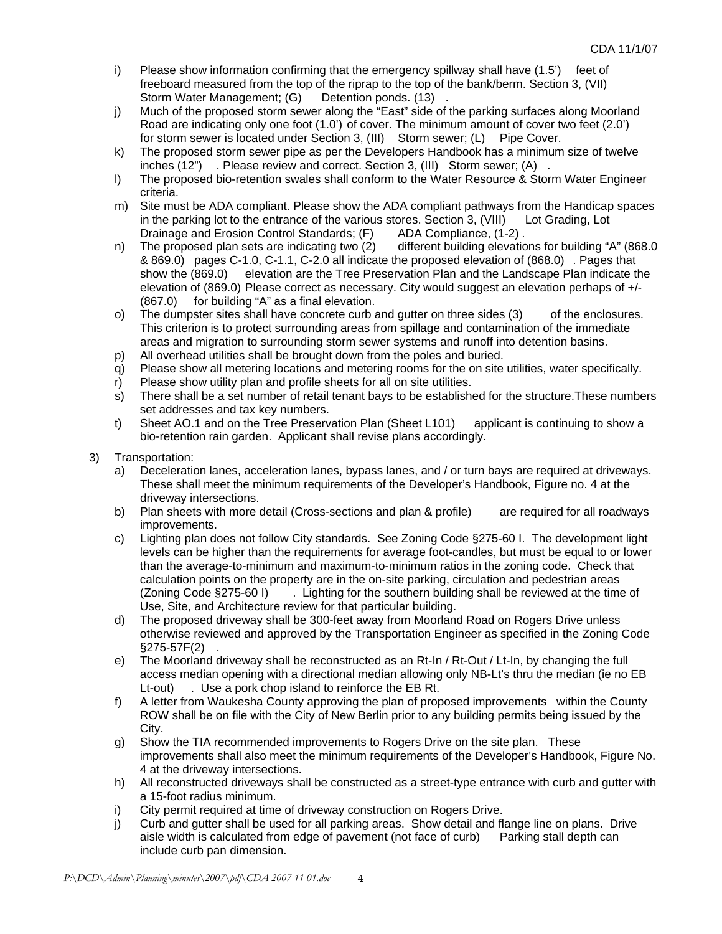- i) Please show information confirming that the emergency spillway shall have (1.5') feet of freeboard measured from the top of the riprap to the top of the bank/berm. Section 3, (VII) Storm Water Management; (G) Detention ponds. (13)
- j) Much of the proposed storm sewer along the "East" side of the parking surfaces along Moorland Road are indicating only one foot (1.0') of cover. The minimum amount of cover two feet (2.0') for storm sewer is located under Section 3, (III) Storm sewer; (L) Pipe Cover.
- k) The proposed storm sewer pipe as per the Developers Handbook has a minimum size of twelve inches (12") . Please review and correct. Section 3, (III) Storm sewer; (A) .
- l) The proposed bio-retention swales shall conform to the Water Resource & Storm Water Engineer criteria.
- m) Site must be ADA compliant. Please show the ADA compliant pathways from the Handicap spaces in the parking lot to the entrance of the various stores. Section 3, (VIII) Lot Grading, Lot Drainage and Erosion Control Standards; (F) ADA Compliance, (1-2) .
- n) The proposed plan sets are indicating two (2) different building elevations for building "A" (868.0) & 869.0) pages C-1.0, C-1.1, C-2.0 all indicate the proposed elevation of (868.0) . Pages that show the (869.0) elevation are the Tree Preservation Plan and the Landscape Plan indicate the elevation of (869.0) Please correct as necessary. City would suggest an elevation perhaps of +/- (867.0) for building "A" as a final elevation.
- o) The dumpster sites shall have concrete curb and gutter on three sides (3) of the enclosures. This criterion is to protect surrounding areas from spillage and contamination of the immediate areas and migration to surrounding storm sewer systems and runoff into detention basins.
- p) All overhead utilities shall be brought down from the poles and buried.
- q) Please show all metering locations and metering rooms for the on site utilities, water specifically.
- r) Please show utility plan and profile sheets for all on site utilities.
- s) There shall be a set number of retail tenant bays to be established for the structure.These numbers set addresses and tax key numbers.
- t) Sheet AO.1 and on the Tree Preservation Plan (Sheet L101) applicant is continuing to show a bio-retention rain garden. Applicant shall revise plans accordingly.
- 3) Transportation:
	- a) Deceleration lanes, acceleration lanes, bypass lanes, and / or turn bays are required at driveways. These shall meet the minimum requirements of the Developer's Handbook, Figure no. 4 at the driveway intersections.
	- b) Plan sheets with more detail (Cross-sections and plan & profile) are required for all roadways improvements.
	- c) Lighting plan does not follow City standards. See Zoning Code §275-60 I. The development light levels can be higher than the requirements for average foot-candles, but must be equal to or lower than the average-to-minimum and maximum-to-minimum ratios in the zoning code. Check that calculation points on the property are in the on-site parking, circulation and pedestrian areas (Zoning Code §275-60 I) . Lighting for the southern building shall be reviewed at the time of Use, Site, and Architecture review for that particular building.
	- d) The proposed driveway shall be 300-feet away from Moorland Road on Rogers Drive unless otherwise reviewed and approved by the Transportation Engineer as specified in the Zoning Code §275-57F(2) .
	- e) The Moorland driveway shall be reconstructed as an Rt-In / Rt-Out / Lt-In, by changing the full access median opening with a directional median allowing only NB-Lt's thru the median (ie no EB Lt-out) . Use a pork chop island to reinforce the EB Rt.
	- f) A letter from Waukesha County approving the plan of proposed improvements within the County ROW shall be on file with the City of New Berlin prior to any building permits being issued by the City.
	- g) Show the TIA recommended improvements to Rogers Drive on the site plan. These improvements shall also meet the minimum requirements of the Developer's Handbook, Figure No. 4 at the driveway intersections.
	- h) All reconstructed driveways shall be constructed as a street-type entrance with curb and gutter with a 15-foot radius minimum.
	- i) City permit required at time of driveway construction on Rogers Drive.
	- j) Curb and gutter shall be used for all parking areas. Show detail and flange line on plans. Drive aisle width is calculated from edge of pavement (not face of curb) Parking stall depth can include curb pan dimension.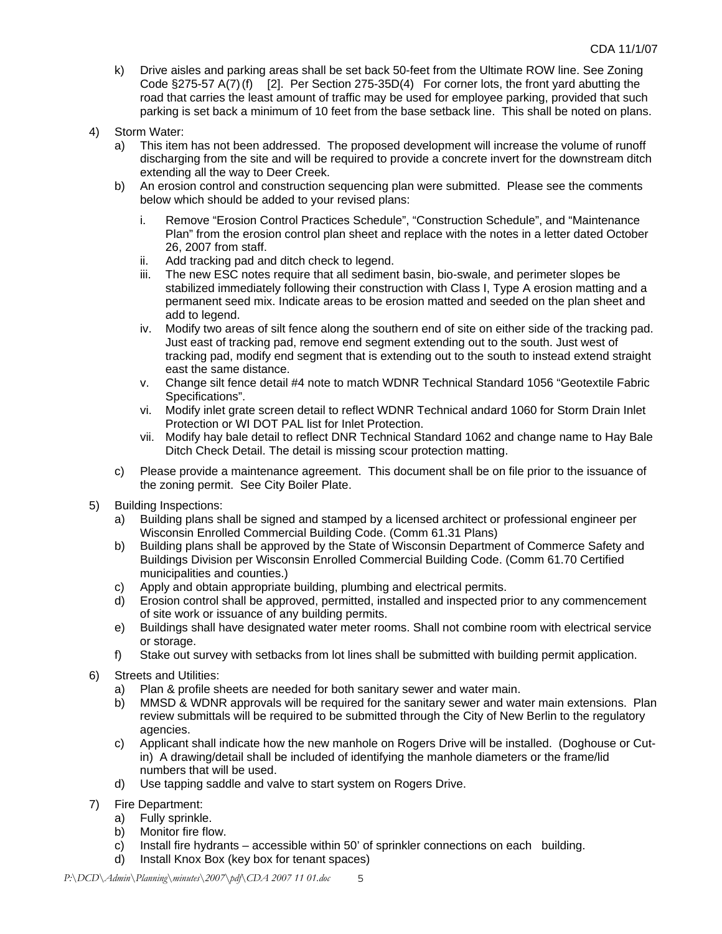- k) Drive aisles and parking areas shall be set back 50-feet from the Ultimate ROW line. See Zoning Code §275-57 A(7) (f) [2]. Per Section 275-35D(4) For corner lots, the front yard abutting the road that carries the least amount of traffic may be used for employee parking, provided that such parking is set back a minimum of 10 feet from the base setback line. This shall be noted on plans.
- 4) Storm Water:
	- a) This item has not been addressed. The proposed development will increase the volume of runoff discharging from the site and will be required to provide a concrete invert for the downstream ditch extending all the way to Deer Creek.
	- b) An erosion control and construction sequencing plan were submitted. Please see the comments below which should be added to your revised plans:
		- i. Remove "Erosion Control Practices Schedule", "Construction Schedule", and "Maintenance Plan" from the erosion control plan sheet and replace with the notes in a letter dated October 26, 2007 from staff.
		- ii. Add tracking pad and ditch check to legend.
		- iii. The new ESC notes require that all sediment basin, bio-swale, and perimeter slopes be stabilized immediately following their construction with Class I, Type A erosion matting and a permanent seed mix. Indicate areas to be erosion matted and seeded on the plan sheet and add to legend.
		- iv. Modify two areas of silt fence along the southern end of site on either side of the tracking pad. Just east of tracking pad, remove end segment extending out to the south. Just west of tracking pad, modify end segment that is extending out to the south to instead extend straight east the same distance.
		- v. Change silt fence detail #4 note to match WDNR Technical Standard 1056 "Geotextile Fabric Specifications".
		- vi. Modify inlet grate screen detail to reflect WDNR Technical andard 1060 for Storm Drain Inlet Protection or WI DOT PAL list for Inlet Protection.
		- vii. Modify hay bale detail to reflect DNR Technical Standard 1062 and change name to Hay Bale Ditch Check Detail. The detail is missing scour protection matting.
	- c) Please provide a maintenance agreement. This document shall be on file prior to the issuance of the zoning permit. See City Boiler Plate.
- 5) Building Inspections:
	- a) Building plans shall be signed and stamped by a licensed architect or professional engineer per Wisconsin Enrolled Commercial Building Code. (Comm 61.31 Plans)
	- b) Building plans shall be approved by the State of Wisconsin Department of Commerce Safety and Buildings Division per Wisconsin Enrolled Commercial Building Code. (Comm 61.70 Certified municipalities and counties.)
	- c) Apply and obtain appropriate building, plumbing and electrical permits.
	- d) Erosion control shall be approved, permitted, installed and inspected prior to any commencement of site work or issuance of any building permits.
	- e) Buildings shall have designated water meter rooms. Shall not combine room with electrical service or storage.
	- f) Stake out survey with setbacks from lot lines shall be submitted with building permit application.
- 6) Streets and Utilities:
	- a) Plan & profile sheets are needed for both sanitary sewer and water main.
	- b) MMSD & WDNR approvals will be required for the sanitary sewer and water main extensions. Plan review submittals will be required to be submitted through the City of New Berlin to the regulatory agencies.
	- c) Applicant shall indicate how the new manhole on Rogers Drive will be installed. (Doghouse or Cutin) A drawing/detail shall be included of identifying the manhole diameters or the frame/lid numbers that will be used.
	- d) Use tapping saddle and valve to start system on Rogers Drive.
- 7) Fire Department:
	- a) Fully sprinkle.
	- b) Monitor fire flow.
	- c) Install fire hydrants accessible within 50' of sprinkler connections on each building.
	- d) Install Knox Box (key box for tenant spaces)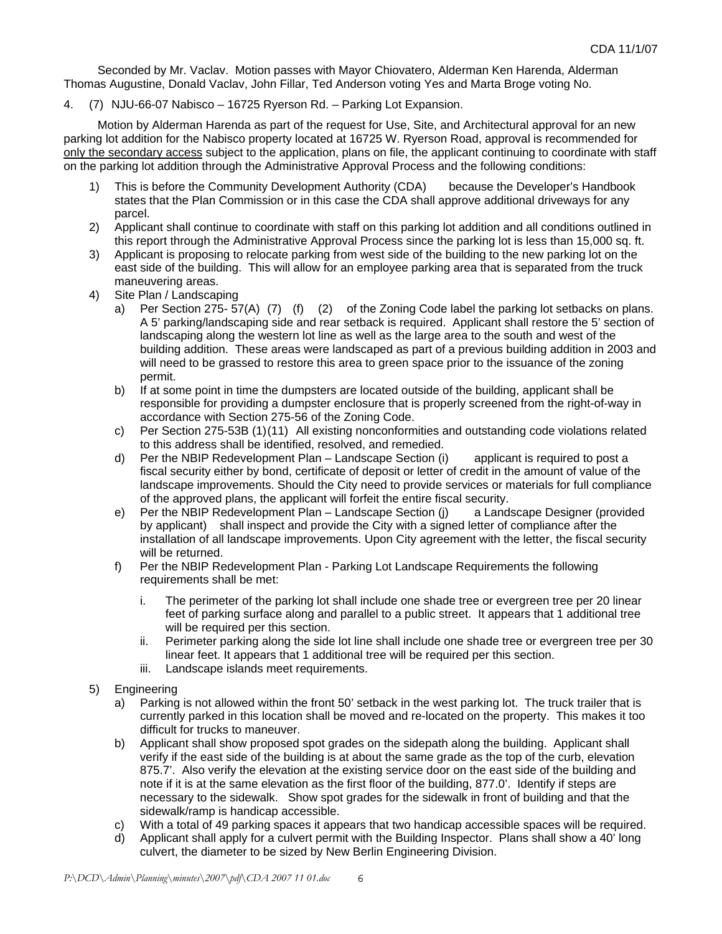Seconded by Mr. Vaclav. Motion passes with Mayor Chiovatero, Alderman Ken Harenda, Alderman Thomas Augustine, Donald Vaclav, John Fillar, Ted Anderson voting Yes and Marta Broge voting No.

4. (7) NJU-66-07 Nabisco – 16725 Ryerson Rd. – Parking Lot Expansion.

Motion by Alderman Harenda as part of the request for Use, Site, and Architectural approval for an new parking lot addition for the Nabisco property located at 16725 W. Ryerson Road, approval is recommended for only the secondary access subject to the application, plans on file, the applicant continuing to coordinate with staff on the parking lot addition through the Administrative Approval Process and the following conditions:

- 1) This is before the Community Development Authority (CDA) because the Developer's Handbook states that the Plan Commission or in this case the CDA shall approve additional driveways for any parcel.
- 2) Applicant shall continue to coordinate with staff on this parking lot addition and all conditions outlined in this report through the Administrative Approval Process since the parking lot is less than 15,000 sq. ft.
- 3) Applicant is proposing to relocate parking from west side of the building to the new parking lot on the east side of the building. This will allow for an employee parking area that is separated from the truck maneuvering areas.
- 4) Site Plan / Landscaping
	- a) Per Section 275- 57(A) (7) (f) (2) of the Zoning Code label the parking lot setbacks on plans. A 5' parking/landscaping side and rear setback is required. Applicant shall restore the 5' section of landscaping along the western lot line as well as the large area to the south and west of the building addition. These areas were landscaped as part of a previous building addition in 2003 and will need to be grassed to restore this area to green space prior to the issuance of the zoning permit.
	- b) If at some point in time the dumpsters are located outside of the building, applicant shall be responsible for providing a dumpster enclosure that is properly screened from the right-of-way in accordance with Section 275-56 of the Zoning Code.
	- c) Per Section 275-53B (1) (11) All existing nonconformities and outstanding code violations related to this address shall be identified, resolved, and remedied.
	- d) Per the NBIP Redevelopment Plan Landscape Section (i) applicant is required to post a fiscal security either by bond, certificate of deposit or letter of credit in the amount of value of the landscape improvements. Should the City need to provide services or materials for full compliance of the approved plans, the applicant will forfeit the entire fiscal security.
	- e) Per the NBIP Redevelopment Plan Landscape Section (j) a Landscape Designer (provided by applicant) shall inspect and provide the City with a signed letter of compliance after the installation of all landscape improvements. Upon City agreement with the letter, the fiscal security will be returned.
	- f) Per the NBIP Redevelopment Plan Parking Lot Landscape Requirements the following requirements shall be met:
		- i. The perimeter of the parking lot shall include one shade tree or evergreen tree per 20 linear feet of parking surface along and parallel to a public street. It appears that 1 additional tree will be required per this section.
		- ii. Perimeter parking along the side lot line shall include one shade tree or evergreen tree per 30 linear feet. It appears that 1 additional tree will be required per this section.
		- iii. Landscape islands meet requirements.
- 5) Engineering
	- a) Parking is not allowed within the front 50' setback in the west parking lot. The truck trailer that is currently parked in this location shall be moved and re-located on the property. This makes it too difficult for trucks to maneuver.
	- b) Applicant shall show proposed spot grades on the sidepath along the building. Applicant shall verify if the east side of the building is at about the same grade as the top of the curb, elevation 875.7'. Also verify the elevation at the existing service door on the east side of the building and note if it is at the same elevation as the first floor of the building, 877.0'. Identify if steps are necessary to the sidewalk. Show spot grades for the sidewalk in front of building and that the sidewalk/ramp is handicap accessible.
	- c) With a total of 49 parking spaces it appears that two handicap accessible spaces will be required.
	- d) Applicant shall apply for a culvert permit with the Building Inspector. Plans shall show a 40' long culvert, the diameter to be sized by New Berlin Engineering Division.